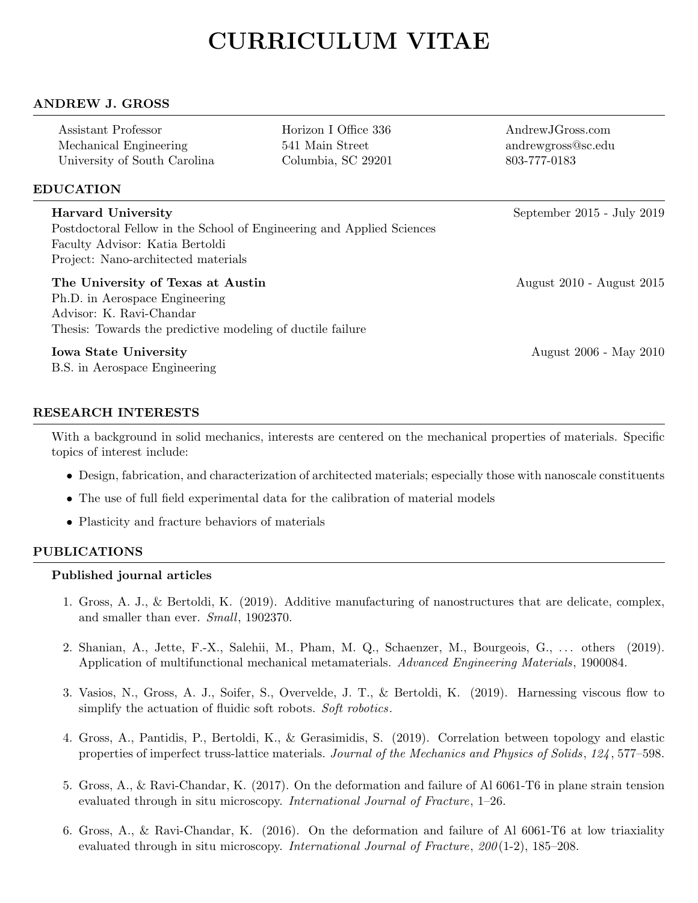# CURRICULUM VITAE

## ANDREW J. GROSS

| Assistant Professor          |  |
|------------------------------|--|
| Mechanical Engineering       |  |
| University of South Carolina |  |

Horizon I Office 336 AndrewJGross.com 541 Main Street andrewgross@sc.edu Columbia, SC 29201 803-777-0183

# EDUCATION

| <b>Harvard University</b>                                             | September 2015 - July 2019 |
|-----------------------------------------------------------------------|----------------------------|
| Postdoctoral Fellow in the School of Engineering and Applied Sciences |                            |
| Faculty Advisor: Katia Bertoldi                                       |                            |
| Project: Nano-architected materials                                   |                            |
| The University of Texas at Austin                                     | August 2010 - August 2015  |
| Ph.D. in Aerospace Engineering                                        |                            |
| Advisor: K. Ravi-Chandar                                              |                            |
| Thesis: Towards the predictive modeling of ductile failure            |                            |
| <b>Iowa State University</b>                                          | August 2006 - May 2010     |
| B.S. in Aerospace Engineering                                         |                            |

# RESEARCH INTERESTS

With a background in solid mechanics, interests are centered on the mechanical properties of materials. Specific topics of interest include:

- Design, fabrication, and characterization of architected materials; especially those with nanoscale constituents
- The use of full field experimental data for the calibration of material models
- Plasticity and fracture behaviors of materials

## PUBLICATIONS

#### Published journal articles

- 1. Gross, A. J., & Bertoldi, K. (2019). Additive manufacturing of nanostructures that are delicate, complex, and smaller than ever. Small, 1902370.
- 2. Shanian, A., Jette, F.-X., Salehii, M., Pham, M. Q., Schaenzer, M., Bourgeois, G., . . . others (2019). Application of multifunctional mechanical metamaterials. Advanced Engineering Materials, 1900084.
- 3. Vasios, N., Gross, A. J., Soifer, S., Overvelde, J. T., & Bertoldi, K. (2019). Harnessing viscous flow to simplify the actuation of fluidic soft robots. Soft robotics.
- 4. Gross, A., Pantidis, P., Bertoldi, K., & Gerasimidis, S. (2019). Correlation between topology and elastic properties of imperfect truss-lattice materials. Journal of the Mechanics and Physics of Solids, 124 , 577–598.
- 5. Gross, A., & Ravi-Chandar, K. (2017). On the deformation and failure of Al 6061-T6 in plane strain tension evaluated through in situ microscopy. International Journal of Fracture, 1–26.
- 6. Gross, A., & Ravi-Chandar, K. (2016). On the deformation and failure of Al 6061-T6 at low triaxiality evaluated through in situ microscopy. International Journal of Fracture, 200(1-2), 185–208.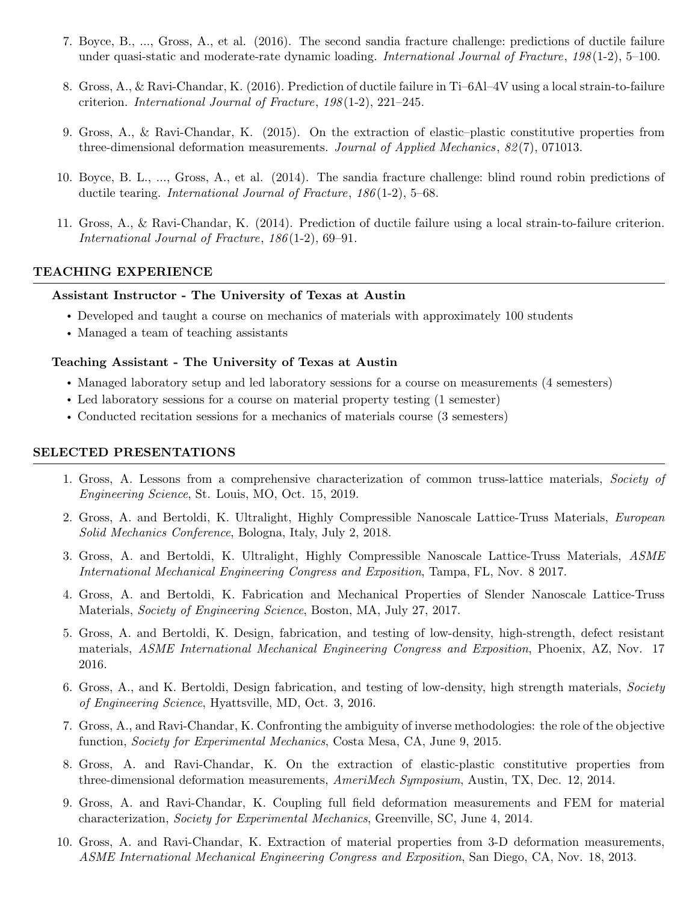- 7. Boyce, B., ..., Gross, A., et al. (2016). The second sandia fracture challenge: predictions of ductile failure under quasi-static and moderate-rate dynamic loading. *International Journal of Fracture*, 198(1-2), 5–100.
- 8. Gross, A., & Ravi-Chandar, K. (2016). Prediction of ductile failure in Ti–6Al–4V using a local strain-to-failure criterion. International Journal of Fracture,  $198(1-2)$ ,  $221-245$ .
- 9. Gross, A., & Ravi-Chandar, K. (2015). On the extraction of elastic–plastic constitutive properties from three-dimensional deformation measurements. Journal of Applied Mechanics,  $82(7)$ , 071013.
- 10. Boyce, B. L., ..., Gross, A., et al. (2014). The sandia fracture challenge: blind round robin predictions of ductile tearing. *International Journal of Fracture*,  $186(1-2)$ , 5–68.
- 11. Gross, A., & Ravi-Chandar, K. (2014). Prediction of ductile failure using a local strain-to-failure criterion. International Journal of Fracture, 186 (1-2), 69–91.

## TEACHING EXPERIENCE

#### Assistant Instructor - The University of Texas at Austin

- Developed and taught a course on mechanics of materials with approximately 100 students
- Managed a team of teaching assistants

#### Teaching Assistant - The University of Texas at Austin

- Managed laboratory setup and led laboratory sessions for a course on measurements (4 semesters)
- Led laboratory sessions for a course on material property testing (1 semester)
- Conducted recitation sessions for a mechanics of materials course (3 semesters)

#### SELECTED PRESENTATIONS

- 1. Gross, A. Lessons from a comprehensive characterization of common truss-lattice materials, Society of Engineering Science, St. Louis, MO, Oct. 15, 2019.
- 2. Gross, A. and Bertoldi, K. Ultralight, Highly Compressible Nanoscale Lattice-Truss Materials, European Solid Mechanics Conference, Bologna, Italy, July 2, 2018.
- 3. Gross, A. and Bertoldi, K. Ultralight, Highly Compressible Nanoscale Lattice-Truss Materials, ASME International Mechanical Engineering Congress and Exposition, Tampa, FL, Nov. 8 2017.
- 4. Gross, A. and Bertoldi, K. Fabrication and Mechanical Properties of Slender Nanoscale Lattice-Truss Materials, Society of Engineering Science, Boston, MA, July 27, 2017.
- 5. Gross, A. and Bertoldi, K. Design, fabrication, and testing of low-density, high-strength, defect resistant materials, ASME International Mechanical Engineering Congress and Exposition, Phoenix, AZ, Nov. 17 2016.
- 6. Gross, A., and K. Bertoldi, Design fabrication, and testing of low-density, high strength materials, Society of Engineering Science, Hyattsville, MD, Oct. 3, 2016.
- 7. Gross, A., and Ravi-Chandar, K. Confronting the ambiguity of inverse methodologies: the role of the objective function, *Society for Experimental Mechanics*, Costa Mesa, CA, June 9, 2015.
- 8. Gross, A. and Ravi-Chandar, K. On the extraction of elastic-plastic constitutive properties from three-dimensional deformation measurements, AmeriMech Symposium, Austin, TX, Dec. 12, 2014.
- 9. Gross, A. and Ravi-Chandar, K. Coupling full field deformation measurements and FEM for material characterization, Society for Experimental Mechanics, Greenville, SC, June 4, 2014.
- 10. Gross, A. and Ravi-Chandar, K. Extraction of material properties from 3-D deformation measurements, ASME International Mechanical Engineering Congress and Exposition, San Diego, CA, Nov. 18, 2013.